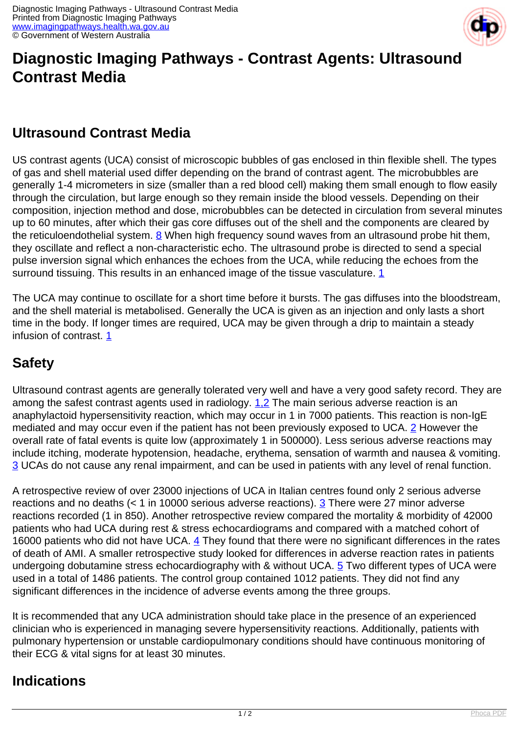

# **Diagnostic Imaging Pathways - Contrast Agents: Ultrasound Contrast Media**

### **Ultrasound Contrast Media**

US contrast agents (UCA) consist of microscopic bubbles of gas enclosed in thin flexible shell. The types of gas and shell material used differ depending on the brand of contrast agent. The microbubbles are generally 1-4 micrometers in size (smaller than a red blood cell) making them small enough to flow easily through the circulation, but large enough so they remain inside the blood vessels. Depending on their composition, injection method and dose, microbubbles can be detected in circulation from several minutes up to 60 minutes, after which their gas core diffuses out of the shell and the components are cleared by the reticuloendothelial system.  $8$  When high frequency sound waves from an ultrasound probe hit them, they oscillate and reflect a non-characteristic echo. The ultrasound probe is directed to send a special pulse inversion signal which enhances the echoes from the UCA, while reducing the echoes from the surround tissuing. This results in an enhanced image of the tissue vasculature. [1](index.php?option=com_content&view=article&id=259&tab=references)

The UCA may continue to oscillate for a short time before it bursts. The gas diffuses into the bloodstream, and the shell material is metabolised. Generally the UCA is given as an injection and only lasts a short time in the body. If longer times are required, UCA may be given through a drip to maintain a steady infusion of contrast. [1](index.php?option=com_content&view=article&id=259&tab=references)

## **Safety**

Ultrasound contrast agents are generally tolerated very well and have a very good safety record. They are among the safest contrast agents used in radiology. [1,2](index.php?option=com_content&view=article&id=259&tab=references) The main serious adverse reaction is an anaphylactoid hypersensitivity reaction, which may occur in 1 in 7000 patients. This reaction is non-IgE mediated and may occur even if the patient has not been previously exposed to UCA. [2](index.php?option=com_content&view=article&id=259&tab=references) However the overall rate of fatal events is quite low (approximately 1 in 500000). Less serious adverse reactions may include itching, moderate hypotension, headache, erythema, sensation of warmth and nausea & vomiting. [3](index.php?option=com_content&view=article&id=259&tab=references) UCAs do not cause any renal impairment, and can be used in patients with any level of renal function.

A retrospective review of over 23000 injections of UCA in Italian centres found only 2 serious adverse reactions and no deaths (< 1 in 10000 serious adverse reactions). [3](index.php?option=com_content&view=article&id=259&tab=references) There were 27 minor adverse reactions recorded (1 in 850). Another retrospective review compared the mortality & morbidity of 42000 patients who had UCA during rest & stress echocardiograms and compared with a matched cohort of 16000 patients who did not have UCA.  $\frac{4}{3}$  They found that there were no significant differences in the rates of death of AMI. A smaller retrospective study looked for differences in adverse reaction rates in patients undergoing dobutamine stress echocardiography with & without UCA. [5](index.php?option=com_content&view=article&id=259&tab=references) Two different types of UCA were used in a total of 1486 patients. The control group contained 1012 patients. They did not find any significant differences in the incidence of adverse events among the three groups.

It is recommended that any UCA administration should take place in the presence of an experienced clinician who is experienced in managing severe hypersensitivity reactions. Additionally, patients with pulmonary hypertension or unstable cardiopulmonary conditions should have continuous monitoring of their ECG & vital signs for at least 30 minutes.

### **Indications**